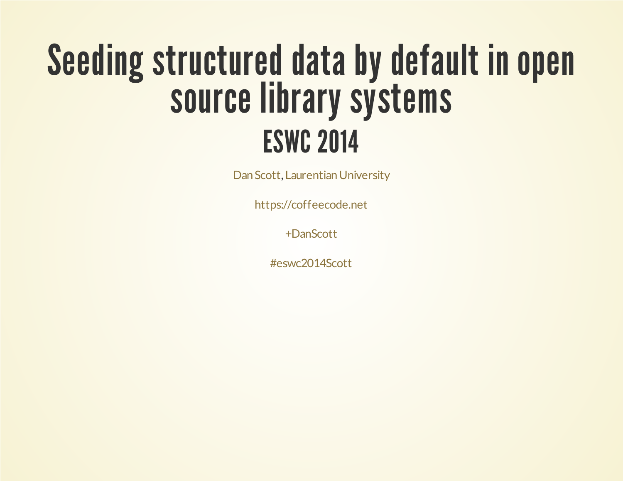### Seeding structured data by default in open source library systems ESWC 2014

Dan Scott, Laurentian University

[https://coffeecode.net](https://coffeecode.net/)

[+DanScott](https://google.com/+DanScottCAN)

[#eswc2014Scott](http://www.google.com/search?q=%23eswc2014Scott)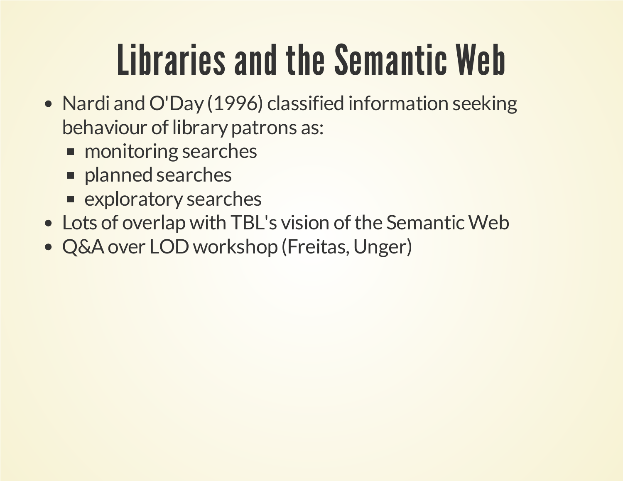### Libraries and the Semantic Web

- Nardi and O'Day (1996) classified information seeking behaviour of library patrons as:
	- **n** monitoring searches
	- **planned searches**
	- **Exploratory searches**
- Lots of overlap with TBL's vision of the Semantic Web
- Q&Aover LODworkshop (Freitas, Unger)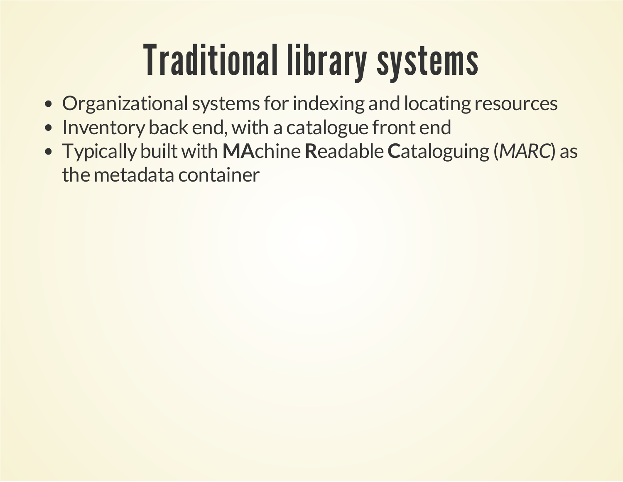### Traditional library systems

- Organizational systems for indexing and locating resources
- Inventory back end, with a catalogue front end
- Typically builtwith **MA**chine**R**eadable**C**ataloguing (*MARC*) as the metadata container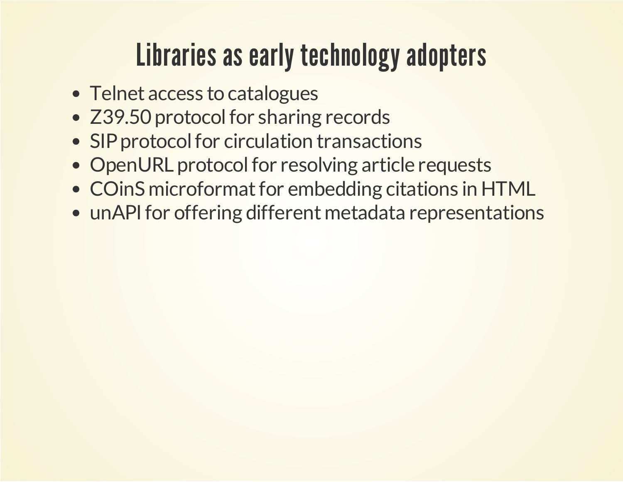#### Libraries as early technology adopters

- Telnet access to catalogues
- Z39.50 protocol for sharing records
- SIP protocol for circulation transactions
- OpenURL protocol for resolving article requests
- COinS microformat for embedding citations in HTML
- unAPI for offering different metadata representations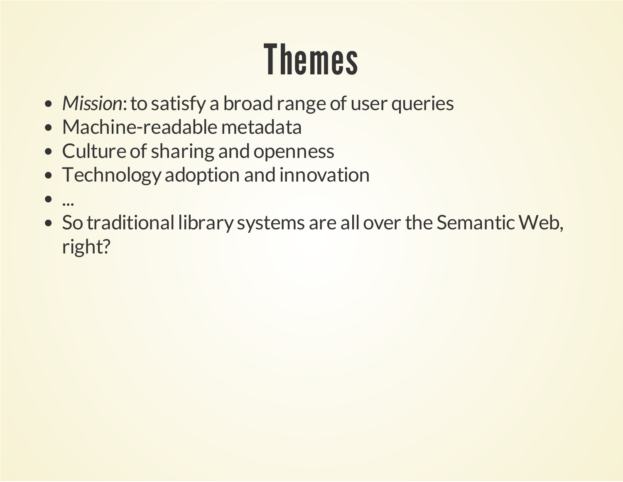### Themes

- Mission: to satisfy a broad range of user queries
- Machine-readable metadata
- Culture of sharing and openness
- Technology adoption and innovation
- $\bullet$ ...
- So traditional library systems are all over the Semantic Web, right?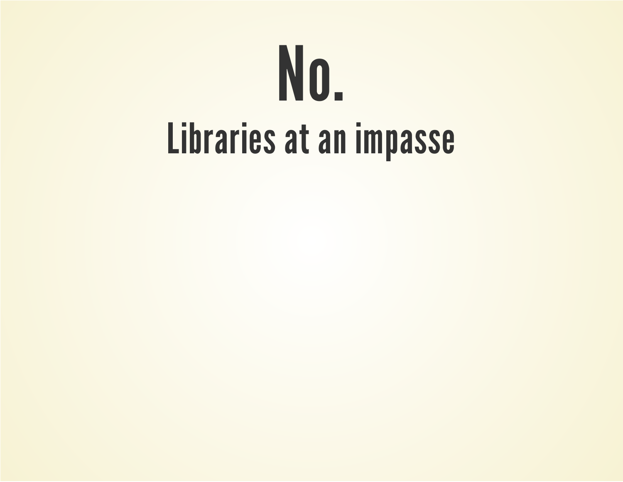# No. Libraries at an impasse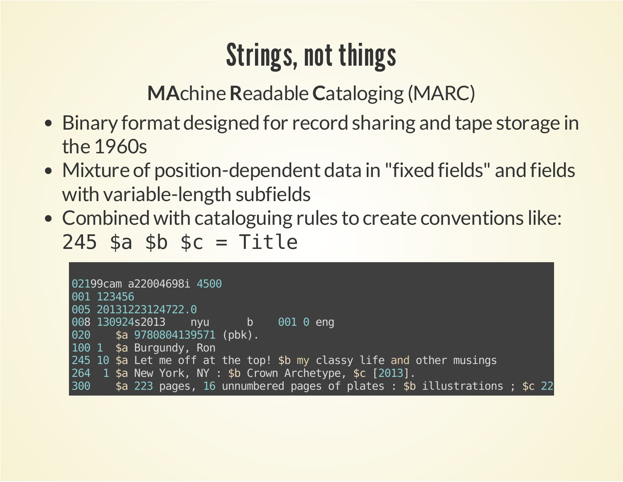#### **Strings, not things**

**MAchine Readable Cataloging (MARC)** 

- Binary format designed for record sharing and tape storage in the 1960s
- Mixture of position-dependent data in "fixed fields" and fields with variable-length subfields
- Combined with cataloguing rules to create conventions like:  $245$  \$a \$b \$c = Title

| 02199cam a22004698i 4500                                                         |
|----------------------------------------------------------------------------------|
| 001 123456                                                                       |
| 005 20131223124722.0                                                             |
| 008 130924s2013 nyu b 001 0 eng                                                  |
| 020 \$a 9780804139571 (pbk).                                                     |
| 100 1 \$a Burgundy, Ron                                                          |
| 245 10 \$a Let me off at the top! \$b my classy life and other musings           |
| 264 1 \$a New York, NY : \$b Crown Archetype, \$c [2013].                        |
| \$a 223 pages, 16 unnumbered pages of plates : \$b illustrations ; \$c 22<br>300 |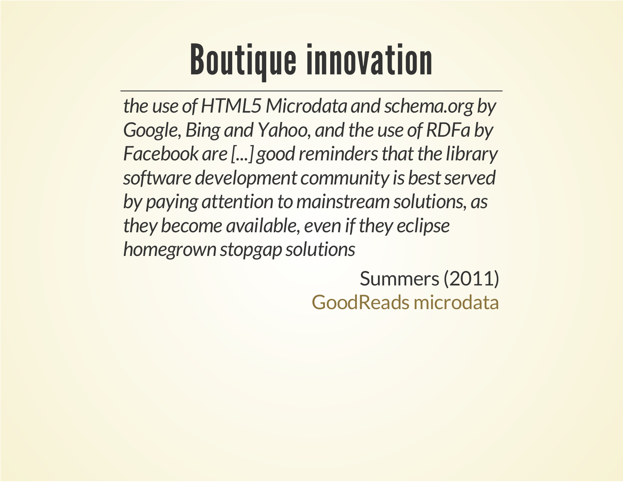### Boutique innovation

*the use ofHTML5 Microdata and schema.org by Google, Bing and Yahoo, and the use of RDFa by Facebook are* [...] good reminders that the library *software development community is bestserved by paying attention tomainstreamsolutions, as they become available, even ifthey eclipse homegrown stopgap solutions*

> Summers (2011) [GoodReads](http://inkdroid.org/journal/2011/08/02/goodreads-microdata) microdata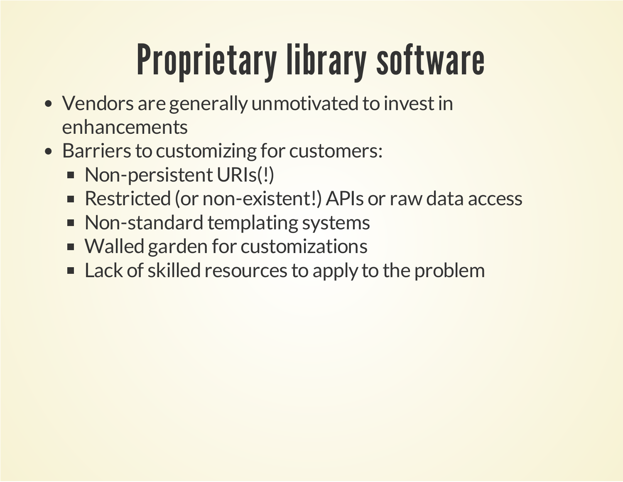### Proprietary library software

- Vendors are generally unmotivated to invest in enhancements
- Barriers to customizing for customers:
	- Non-persistent URIs(!)
	- Restricted (or non-existent!) APIs or raw data access
	- Non-standard templating systems
	- Walled garden for customizations
	- **EXACCE A** Lack of skilled resources to apply to the problem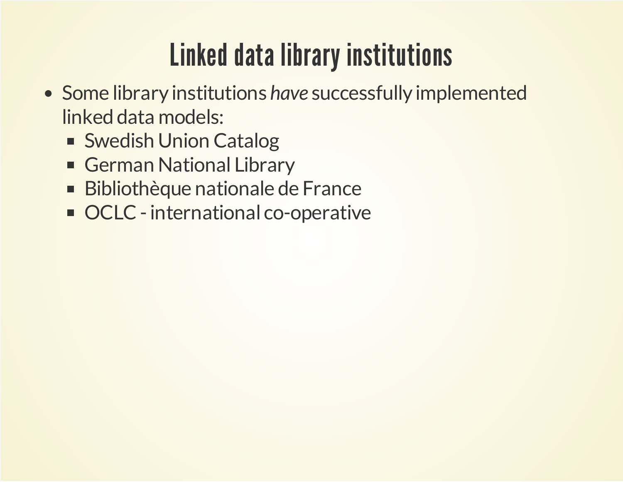#### Linked data library institutions

- Some library institutions *have* successfully implemented linked data models:
	- Swedish Union Catalog
	- German National Library
	- Bibliothèque nationale de France  $\blacksquare$
	- OCLC international co-operative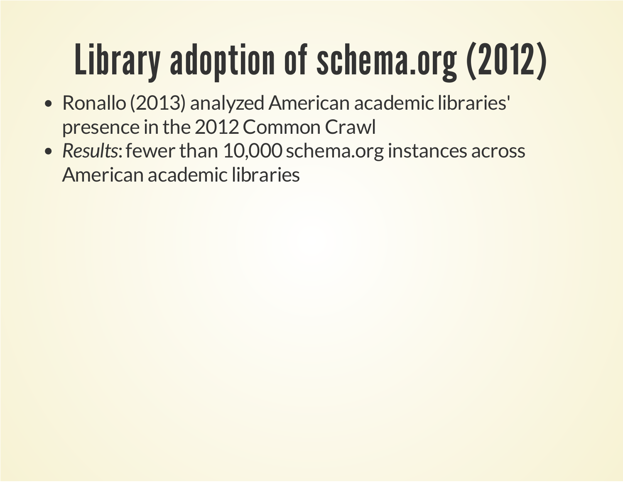## Library adoption of schema.org (2012)

- Ronallo (2013) analyzed American academic libraries' presence in the 2012 Common Crawl
- Results: fewer than 10,000 schema.org instances across American academic libraries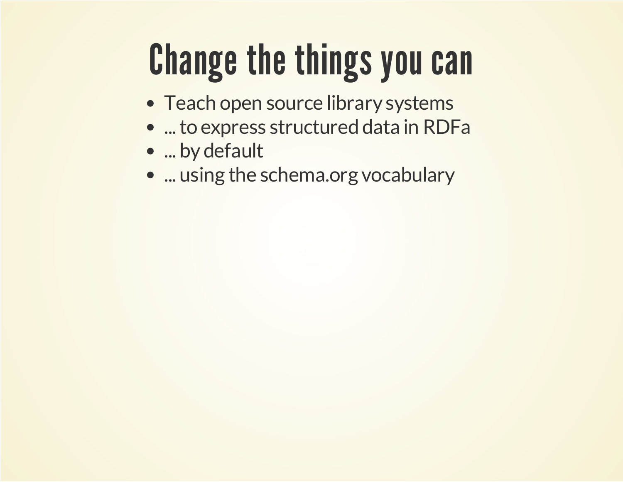### Change the things you can

- Teach open source library systems
- ...to express structured data in RDFa
- ... by default
- ... using the schema.org vocabulary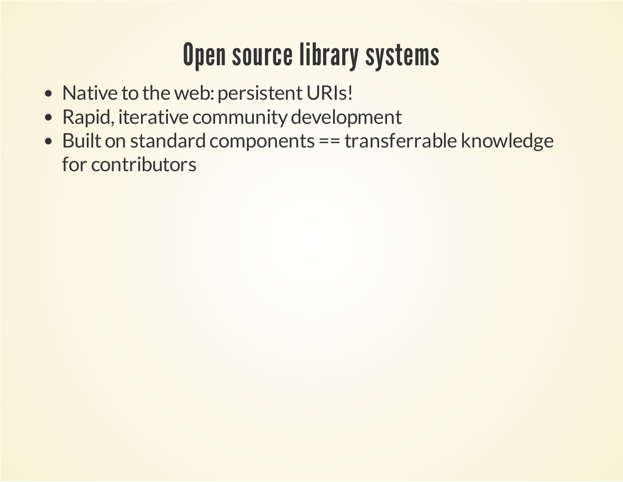#### Open source library systems

- Native to the web: persistent URIs!
- Rapid, iterative community development
- Built on standard components == transferrable knowledge for contributors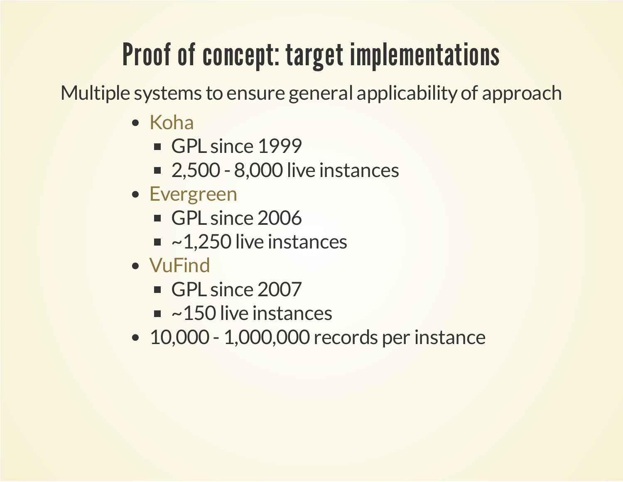#### Proof of concept: target implementations

Multiple systems to ensure general applicability of approach

- [Koha](http://koha-community.org/)
	- GPL since 1999
	- 2,500 8,000 live instances
- [Evergreen](http://evergreen-ils.org/)
	- GPL since 2006
	- $\blacksquare$  ~1,250 live instances
- [VuFind](http://vufind.org/)
	- GPL since 2007
	- $\blacksquare$  ~150 live instances
- 10,000 1,000,000 records per instance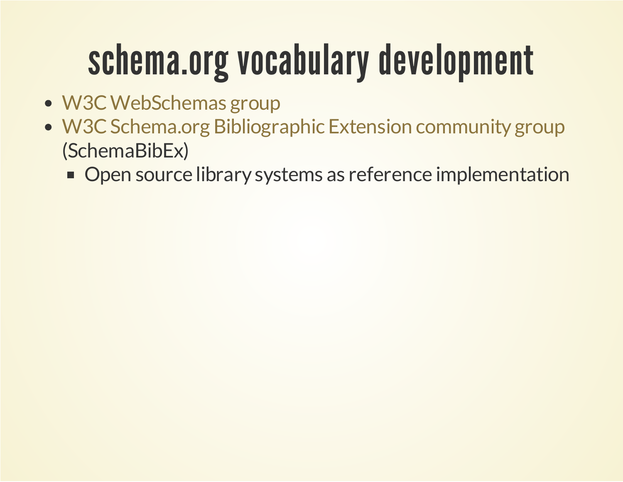### schema.org vocabulary development

- W3C WebSchemas group
- (SchemaBibEx) • W3C Schema.org Bibliographic Extension community group
	- **Open source library systems as reference implementation**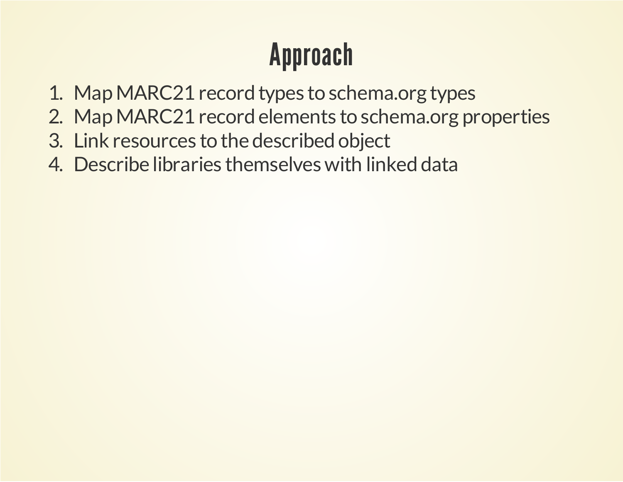#### Approach

- 1. Map MARC21 record types to schema.org types
- 2. Map MARC21 record elements to schema.org properties
- 3. Link resources to the described object
- 4. Describe libraries themselves with linked data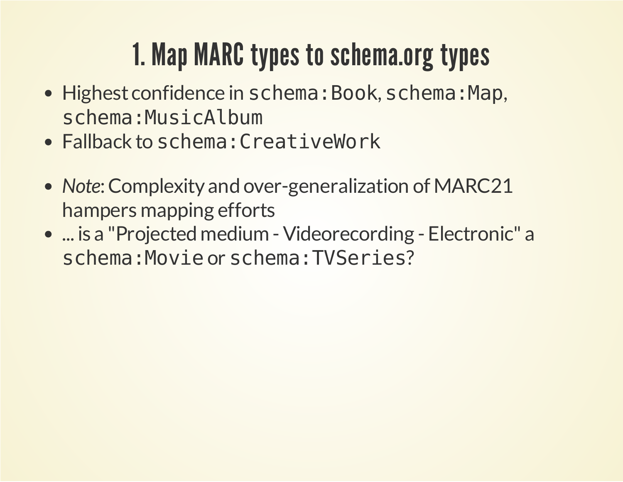#### 1. Map MARC types to schema.org types

- Highest confidence in schema: Book, schema: Map, schema:MusicAlbum
- Fallback to schema: CreativeWork
- Note: Complexity and over-generalization of MARC21 hampers mapping efforts
- ... is a "Projected medium Videorecording Electronic" a schema:Movieor schema:TVSeries?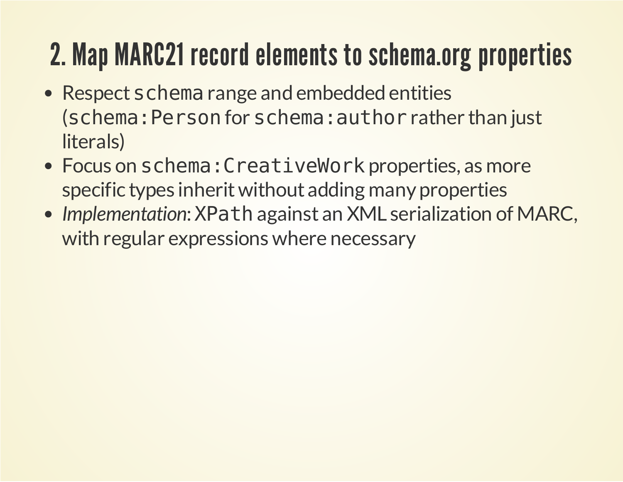#### 2. Map MARC21 record elements to schema.org properties

- Respect schema range and embedded entities (schema:Personfor schema:authorrather than just literals)
- Focus on schema: CreativeWork properties, as more specific types inherit without adding many properties
- *Implementation*:XPathagainst an XML serialization of MARC, with regular expressions where necessary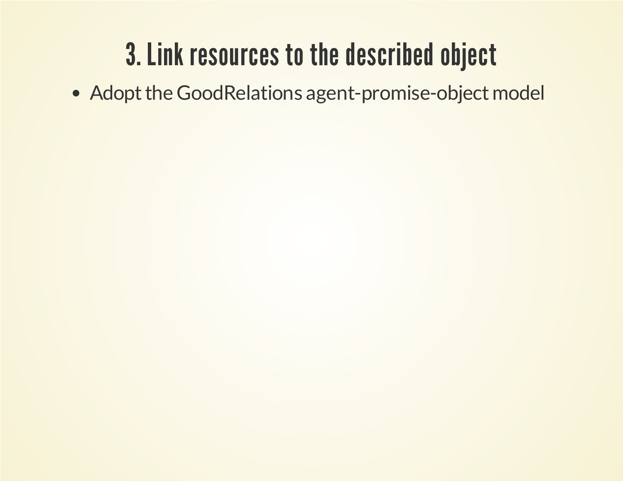#### 3. Link resources to the described object

• Adopt the GoodRelations agent-promise-object model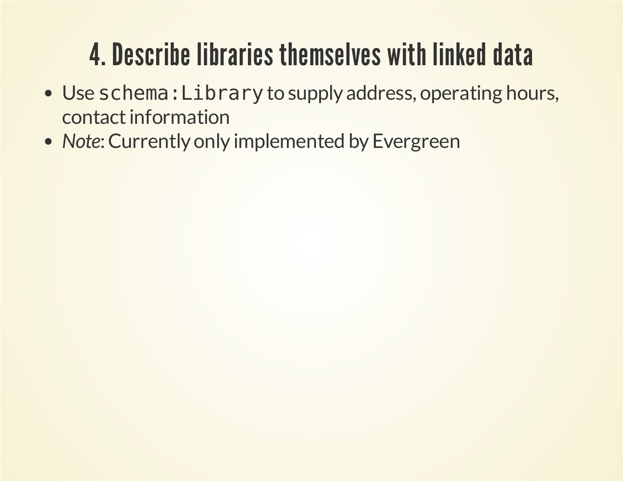#### 4. Describe libraries themselves with linked data

- Use schema: Library to supply address, operating hours, contact information
- Note: Currently only implemented by Evergreen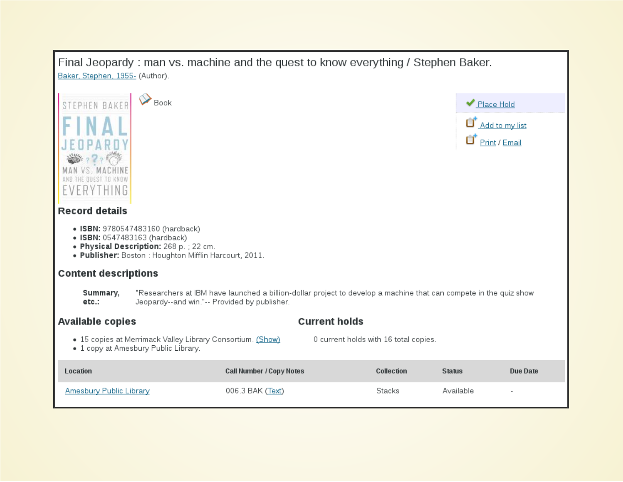#### Final Jeopardy: man vs. machine and the quest to know everything / Stephen Baker. Baker, Stephen, 1955- (Author).

| Book<br><b>STEPHEN BAKE</b><br><b>Record details</b><br>• ISBN: 9780547483160 (hardback)<br>• ISBN: 0547483163 (hardback)<br>. Physical Description: 268 p. ; 22 cm.<br>. Publisher: Boston : Houghton Mifflin Harcourt, 2011.<br><b>Content descriptions</b><br>Summary,<br>etc.:<br>Jeopardy--and win."-- Provided by publisher. |                          | "Researchers at IBM have launched a billion-dollar project to develop a machine that can compete in the quiz show | ◆ Place Hold<br>Θ<br>Add to my list<br>Θ<br>Print / Email |                 |  |
|------------------------------------------------------------------------------------------------------------------------------------------------------------------------------------------------------------------------------------------------------------------------------------------------------------------------------------|--------------------------|-------------------------------------------------------------------------------------------------------------------|-----------------------------------------------------------|-----------------|--|
| <b>Current holds</b><br><b>Available copies</b>                                                                                                                                                                                                                                                                                    |                          |                                                                                                                   |                                                           |                 |  |
| . 15 copies at Merrimack Valley Library Consortium. (Show)<br>• 1 copy at Amesbury Public Library.                                                                                                                                                                                                                                 |                          | 0 current holds with 16 total copies.                                                                             |                                                           |                 |  |
| Location                                                                                                                                                                                                                                                                                                                           | Call Number / Copy Notes | Collection                                                                                                        | <b>Status</b>                                             | <b>Due Date</b> |  |
| Amesbury Public Library                                                                                                                                                                                                                                                                                                            | 006.3 BAK (Text)         | Stacks                                                                                                            | Available                                                 |                 |  |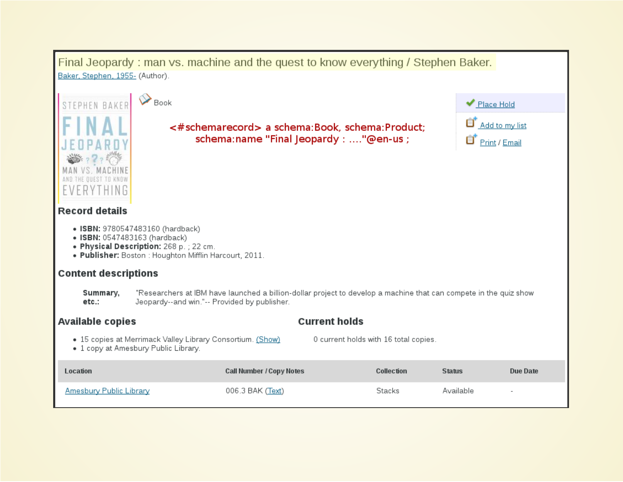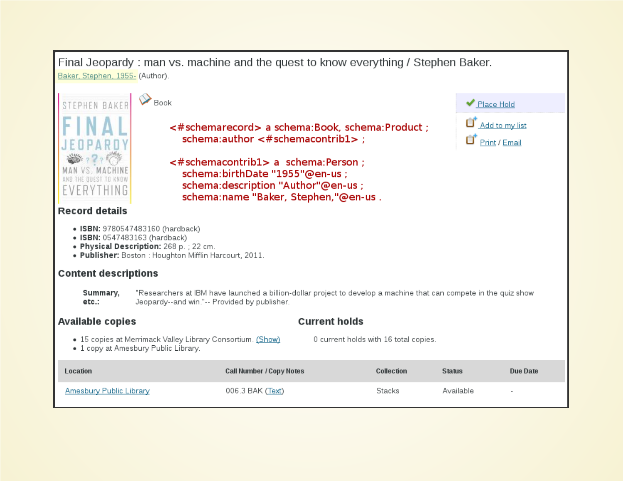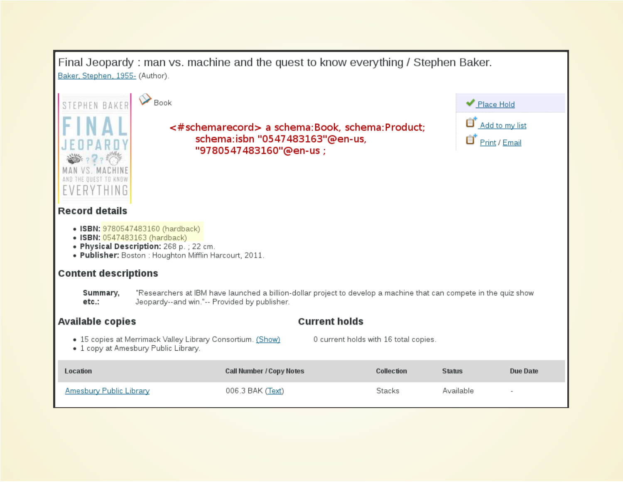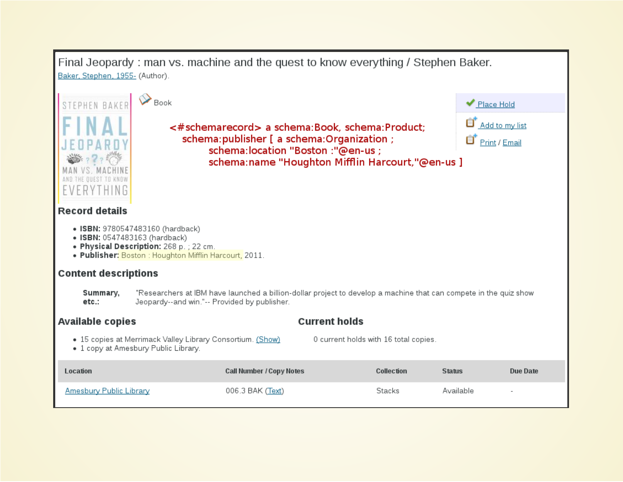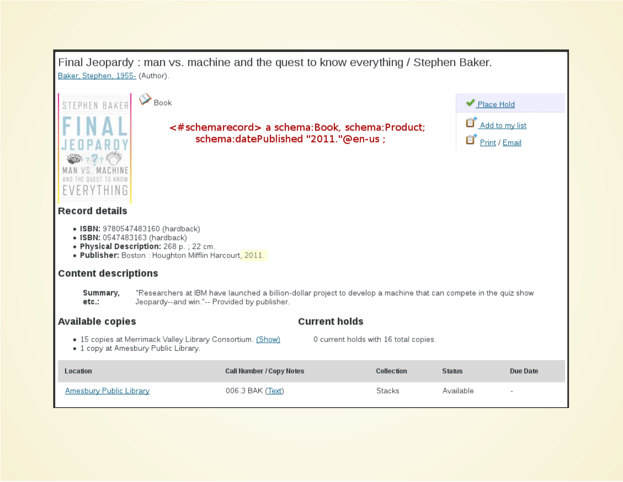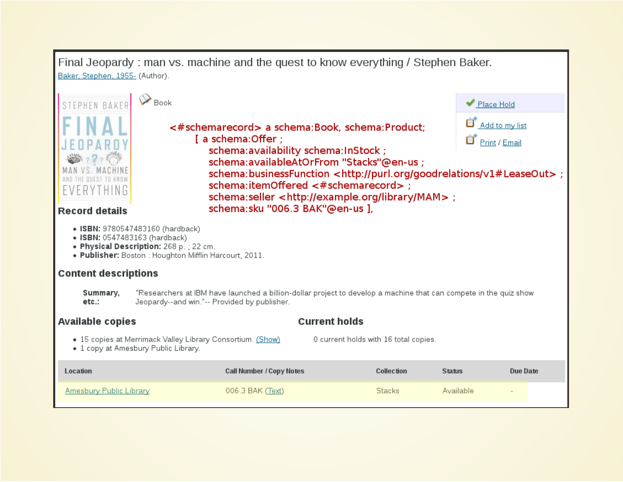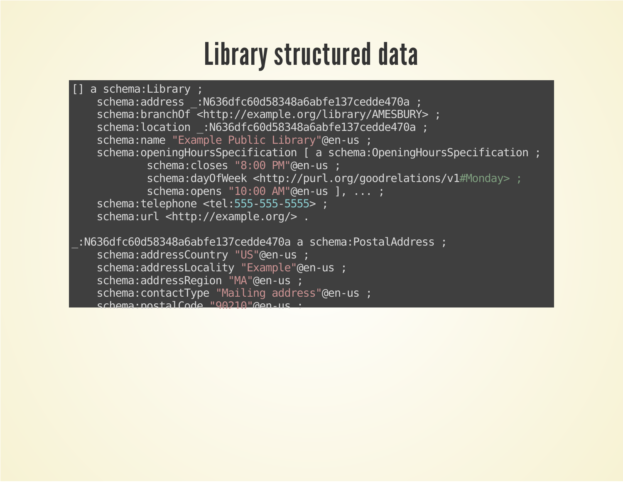#### Library structured data

```
[] a schema:Library ;
   schema:address_:N636dfc60d58348a6abfe137cedde470a;
   schema:branchOf <http://example.org/library/AMESBURY>;
   schema:location :N636dfc60d58348a6abfe137cedde470a;
   schema: name "Example Public Library"@en-us;
   schema:openingHoursSpecification [ a schema:OpeningHoursSpecification ;
           schema:closes "8:00 PM"@en-us ;
           schema:dayOfWeek <http://purl.org/goodrelations/v1#Monday>;
           schema:opens "10:00 AM"@en-us ], ...;
   schema:telephone <tel:555-555-5555> ;
   schema:url <http://example.org/>.
:N636dfc60d58348a6abfe137cedde470a a schema:PostalAddress;
   schema:addressCountry "US"@en-us ;
   schema:addressLocality "Example"@en-us;
   schema:addressRegion "MA"@en-us ;
   schema:contactType "Mailing address"@en-us;
   schema:postalCode"90210"@en-us;
```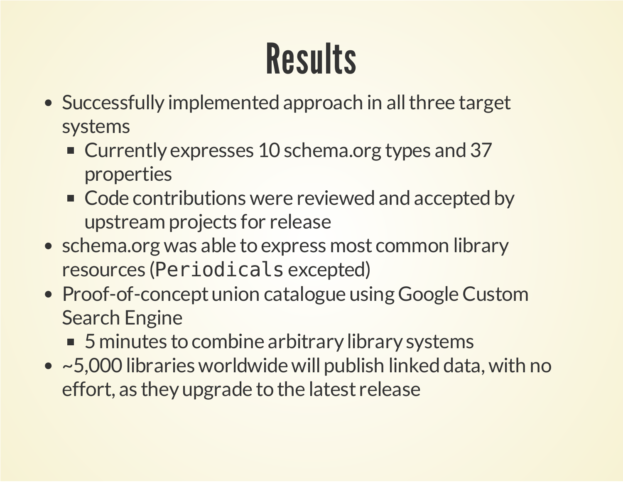### Results

- Successfully implemented approach in all three target systems
	- Currently expresses 10 schema.org types and 37 properties
	- Code contributions were reviewed and accepted by upstream projects for release
- schema.org was able to express most common library resources (Periodicals excepted)
- Proof-of-concept union catalogue using Google Custom Search Engine
	- 5 minutes to combine arbitrary library systems
- ~5,000 libraries worldwide will publish linked data, with no effort, as they upgrade to the latest release